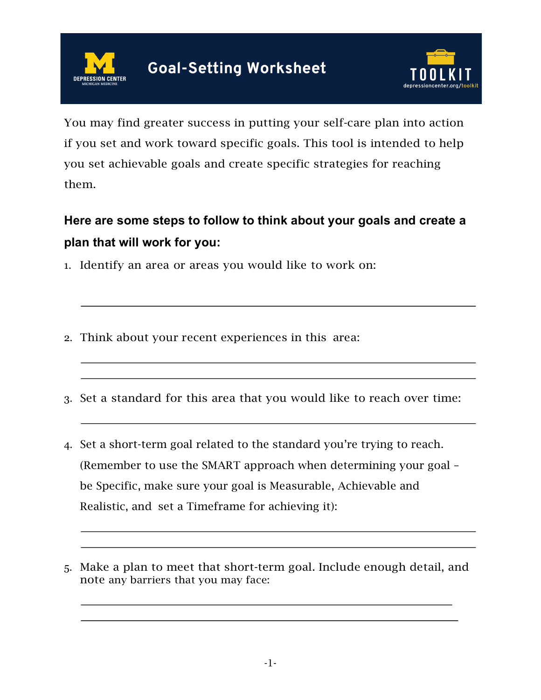



You may find greater success in putting your self-care plan into action if you set and work toward specific goals. This tool is intended to help you set achievable goals and create specific strategies for reaching them.

## **Here are some steps to follow to think about your goals and create a plan that will work for you:**

- 1. Identify an area or areas you would like to work on:
- 2. Think about your recent experiences in this area:
- 3. Set a standard for this area that you would like to reach over time:
- 4. Set a short-term goal related to the standard you're trying to reach. (Remember to use the SMART approach when determining your goal – be Specific, make sure your goal is Measurable, Achievable and Realistic, and set a Timeframe for achieving it):
- 5. Make a plan to meet that short-term goal. Include enough detail, and note any barriers that you may face: